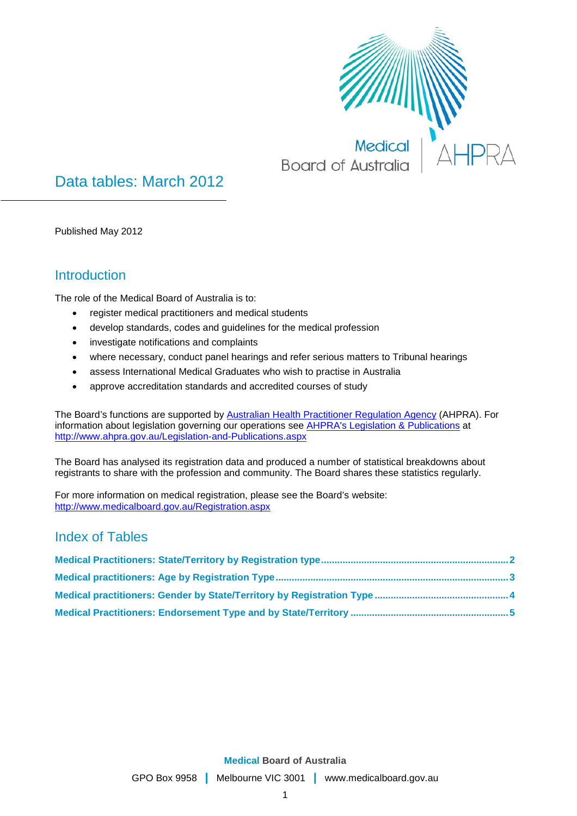

Data tables: March 2012

Published May 2012

### **Introduction**

The role of the Medical Board of Australia is to:

- register medical practitioners and medical students
- develop standards, codes and guidelines for the medical profession
- investigate notifications and complaints
- where necessary, conduct panel hearings and refer serious matters to Tribunal hearings
- assess International Medical Graduates who wish to practise in Australia
- approve accreditation standards and accredited courses of study

The Board's functions are supported by [Australian Health Practitioner Regulation Agency](http://www.ahpra.gov.au/About-AHPRA/What-We-Do.aspx) (AHPRA). For information about legislation governing our operations see [AHPRA's Legislation & Publications](http://www.ahpra.gov.au/Legislation-and-Publications.aspx) at <http://www.ahpra.gov.au/Legislation-and-Publications.aspx>

The Board has analysed its registration data and produced a number of statistical breakdowns about registrants to share with the profession and community. The Board shares these statistics regularly.

For more information on medical registration, please see the Board's website: <http://www.medicalboard.gov.au/Registration.aspx>

#### Index of Tables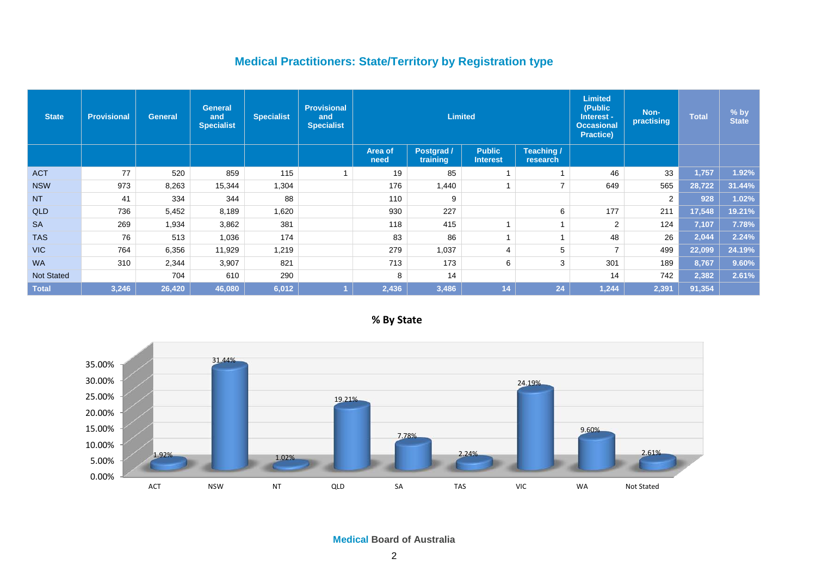## **Medical Practitioners: State/Territory by Registration type**

| <b>State</b>      | <b>Provisional</b> | <b>General</b> | <b>General</b><br>and<br><b>Specialist</b> | <b>Specialist</b> | <b>Provisional</b><br>and<br><b>Specialist</b> |                 | <b>Limited</b>         |                                  | <b>Limited</b><br>(Public<br>Interest -<br><b>Occasional</b><br><b>Practice)</b> | Non-<br>practising | <b>Total</b>   | $%$ by<br><b>State</b> |        |
|-------------------|--------------------|----------------|--------------------------------------------|-------------------|------------------------------------------------|-----------------|------------------------|----------------------------------|----------------------------------------------------------------------------------|--------------------|----------------|------------------------|--------|
|                   |                    |                |                                            |                   |                                                | Area of<br>need | Postgrad /<br>training | <b>Public</b><br><b>Interest</b> | Teaching /<br>research                                                           |                    |                |                        |        |
| <b>ACT</b>        | 77                 | 520            | 859                                        | 115               | 1                                              | 19              | 85                     |                                  |                                                                                  | 46                 | 33             | 1,757                  | 1.92%  |
| <b>NSW</b>        | 973                | 8,263          | 15,344                                     | 1,304             |                                                | 176             | 1,440                  |                                  | ⇁                                                                                | 649                | 565            | 28,722                 | 31.44% |
| <b>NT</b>         | 41                 | 334            | 344                                        | 88                |                                                | 110             | 9                      |                                  |                                                                                  |                    | $\overline{2}$ | 928                    | 1.02%  |
| <b>QLD</b>        | 736                | 5,452          | 8,189                                      | 1,620             |                                                | 930             | 227                    |                                  | 6                                                                                | 177                | 211            | 17,548                 | 19.21% |
| <b>SA</b>         | 269                | 1,934          | 3,862                                      | 381               |                                                | 118             | 415                    |                                  |                                                                                  | $\overline{2}$     | 124            | 7,107                  | 7.78%  |
| <b>TAS</b>        | 76                 | 513            | 1,036                                      | 174               |                                                | 83              | 86                     |                                  |                                                                                  | 48                 | 26             | 2,044                  | 2.24%  |
| VIC               | 764                | 6,356          | 11,929                                     | 1,219             |                                                | 279             | 1,037                  | 4                                | 5                                                                                | $\overline{7}$     | 499            | 22,099                 | 24.19% |
| <b>WA</b>         | 310                | 2,344          | 3,907                                      | 821               |                                                | 713             | 173                    | 6                                | 3                                                                                | 301                | 189            | 8,767                  | 9.60%  |
| <b>Not Stated</b> |                    | 704            | 610                                        | 290               |                                                | 8               | 14                     |                                  |                                                                                  | 14                 | 742            | 2,382                  | 2.61%  |
| Total             | 3,246              | 26,420         | 46,080                                     | 6,012             |                                                | 2,436           | 3,486                  | 14                               | 24                                                                               | 1,244              | 2,391          | 91,354                 |        |

<span id="page-1-0"></span>

**% By State**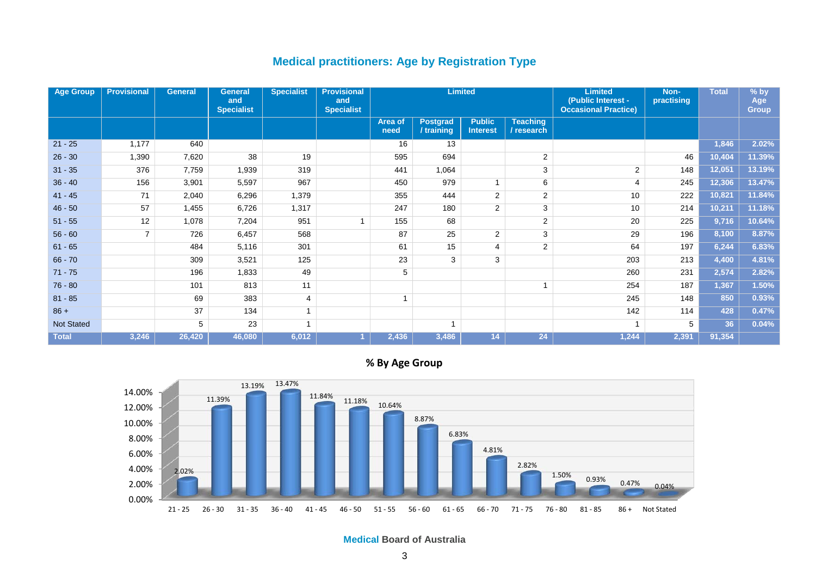#### **Medical practitioners: Age by Registration Type**

| <b>Age Group</b>  | <b>Provisional</b> | <b>General</b> | <b>General</b><br>and<br><b>Specialist</b> | <b>Specialist</b> | <b>Provisional</b><br>and<br><b>Specialist</b> | <b>Limited</b>  |                               |                                  |                               | <b>Limited</b><br>(Public Interest -<br><b>Occasional Practice)</b> | Non-<br>practising | <b>Total</b> | $%$ by<br>Age<br><b>Group</b> |
|-------------------|--------------------|----------------|--------------------------------------------|-------------------|------------------------------------------------|-----------------|-------------------------------|----------------------------------|-------------------------------|---------------------------------------------------------------------|--------------------|--------------|-------------------------------|
|                   |                    |                |                                            |                   |                                                | Area of<br>need | <b>Postgrad</b><br>/ training | <b>Public</b><br><b>Interest</b> | <b>Teaching</b><br>/ research |                                                                     |                    |              |                               |
| $21 - 25$         | 1,177              | 640            |                                            |                   |                                                | 16              | 13                            |                                  |                               |                                                                     |                    | 1,846        | 2.02%                         |
| $26 - 30$         | 1,390              | 7,620          | 38                                         | 19                |                                                | 595             | 694                           |                                  | $\overline{2}$                |                                                                     | 46                 | 10,404       | 11.39%                        |
| $31 - 35$         | 376                | 7,759          | 1,939                                      | 319               |                                                | 441             | 1,064                         |                                  | 3                             | $\overline{2}$                                                      | 148                | 12,051       | 13.19%                        |
| $36 - 40$         | 156                | 3,901          | 5,597                                      | 967               |                                                | 450             | 979                           |                                  | 6                             | $\overline{4}$                                                      | 245                | 12,306       | 13.47%                        |
| $41 - 45$         | 71                 | 2,040          | 6,296                                      | 1,379             |                                                | 355             | 444                           | 2                                | $\overline{2}$                | 10                                                                  | 222                | 10,821       | 11.84%                        |
| $46 - 50$         | 57                 | 1,455          | 6,726                                      | 1,317             |                                                | 247             | 180                           | 2                                | 3                             | 10                                                                  | 214                | 10,211       | 11.18%                        |
| $51 - 55$         | 12                 | 1,078          | 7,204                                      | 951               |                                                | 155             | 68                            |                                  | $\overline{2}$                | 20                                                                  | 225                | 9,716        | 10.64%                        |
| $56 - 60$         | $\overline{7}$     | 726            | 6,457                                      | 568               |                                                | 87              | 25                            | 2                                | 3                             | 29                                                                  | 196                | 8,100        | 8.87%                         |
| $61 - 65$         |                    | 484            | 5,116                                      | 301               |                                                | 61              | 15                            | 4                                | $\overline{2}$                | 64                                                                  | 197                | 6,244        | 6.83%                         |
| $66 - 70$         |                    | 309            | 3,521                                      | 125               |                                                | 23              | 3                             | 3                                |                               | 203                                                                 | 213                | 4,400        | 4.81%                         |
| $71 - 75$         |                    | 196            | 1,833                                      | 49                |                                                | 5               |                               |                                  |                               | 260                                                                 | 231                | 2,574        | 2.82%                         |
| $76 - 80$         |                    | 101            | 813                                        | 11                |                                                |                 |                               |                                  |                               | 254                                                                 | 187                | 1,367        | 1.50%                         |
| $81 - 85$         |                    | 69             | 383                                        | 4                 |                                                |                 |                               |                                  |                               | 245                                                                 | 148                | 850          | 0.93%                         |
| $86 +$            |                    | 37             | 134                                        |                   |                                                |                 |                               |                                  |                               | 142                                                                 | 114                | 428          | 0.47%                         |
| <b>Not Stated</b> |                    | 5              | 23                                         |                   |                                                |                 | $\overline{ }$                |                                  |                               | $\overline{ }$                                                      | 5                  | 36           | 0.04%                         |
| <b>Total</b>      | 3,246              | 26,420         | 46,080                                     | 6,012             |                                                | 2,436           | 3,486                         | 14                               | 24                            | 1,244                                                               | 2,391              | 91,354       |                               |

**% By Age Group**

<span id="page-2-0"></span>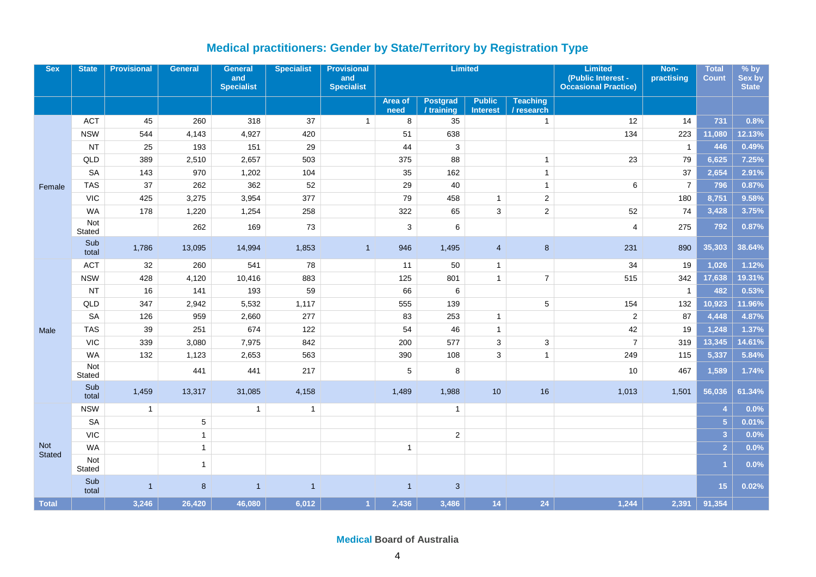## **Medical practitioners: Gender by State/Territory by Registration Type**

<span id="page-3-0"></span>

| <b>Sex</b>    | <b>State</b>         | <b>Provisional</b> | <b>General</b> | <b>General</b><br>and<br><b>Specialist</b> | <b>Specialist</b> | <b>Provisional</b><br>and<br><b>Specialist</b> | <b>Limited</b>  |                        |                                  |                               | <b>Limited</b><br>(Public Interest -<br><b>Occasional Practice)</b> | Non-<br>practising | <b>Total</b><br><b>Count</b> | $%$ by<br>Sex by<br><b>State</b> |
|---------------|----------------------|--------------------|----------------|--------------------------------------------|-------------------|------------------------------------------------|-----------------|------------------------|----------------------------------|-------------------------------|---------------------------------------------------------------------|--------------------|------------------------------|----------------------------------|
|               |                      |                    |                |                                            |                   |                                                | Area of<br>need | Postgrad<br>/ training | <b>Public</b><br><b>Interest</b> | <b>Teaching</b><br>/ research |                                                                     |                    |                              |                                  |
|               | <b>ACT</b>           | 45                 | 260            | 318                                        | 37                | $\mathbf{1}$                                   | 8               | 35                     |                                  | $\mathbf{1}$                  | 12                                                                  | 14                 | 731                          | 0.8%                             |
|               | <b>NSW</b>           | 544                | 4,143          | 4,927                                      | 420               |                                                | 51              | 638                    |                                  |                               | 134                                                                 | 223                | 11,080                       | 12.13%                           |
|               | <b>NT</b>            | 25                 | 193            | 151                                        | 29                |                                                | 44              | 3                      |                                  |                               |                                                                     | $\overline{1}$     | 446                          | 0.49%                            |
|               | QLD                  | 389                | 2,510          | 2,657                                      | 503               |                                                | 375             | 88                     |                                  | $\mathbf{1}$                  | 23                                                                  | 79                 | 6,625                        | 7.25%                            |
|               | <b>SA</b>            | 143                | 970            | 1,202                                      | 104               |                                                | 35              | 162                    |                                  | $\mathbf{1}$                  |                                                                     | 37                 | 2,654                        | 2.91%                            |
| Female        | <b>TAS</b>           | 37                 | 262            | 362                                        | 52                |                                                | 29              | 40                     |                                  | $\mathbf{1}$                  | $\,6\,$                                                             | $\overline{7}$     | 796                          | 0.87%                            |
|               | <b>VIC</b>           | 425                | 3,275          | 3,954                                      | 377               |                                                | 79              | 458                    | $\mathbf{1}$                     | $\overline{c}$                |                                                                     | 180                | 8,751                        | 9.58%                            |
|               | <b>WA</b>            | 178                | 1,220          | 1,254                                      | 258               |                                                | 322             | 65                     | $\mathbf{3}$                     | $\overline{2}$                | 52                                                                  | 74                 | 3,428                        | 3.75%                            |
|               | Not<br>Stated        |                    | 262            | 169                                        | 73                |                                                | 3               | 6                      |                                  |                               | $\overline{4}$                                                      | 275                | 792                          | 0.87%                            |
|               | Sub<br>total         | 1,786              | 13,095         | 14,994                                     | 1,853             | $\overline{1}$                                 | 946             | 1,495                  | $\overline{4}$                   | 8                             | 231                                                                 | 890                | 35,303                       | 38.64%                           |
|               | <b>ACT</b>           | 32                 | 260            | 541                                        | 78                |                                                | 11              | 50                     | $\mathbf{1}$                     |                               | 34                                                                  | 19                 | 1,026                        | 1.12%                            |
|               | <b>NSW</b>           | 428                | 4,120          | 10,416                                     | 883               |                                                | 125             | 801                    | $\mathbf{1}$                     | $\overline{7}$                | 515                                                                 | 342                | 17,638                       | 19.31%                           |
|               | <b>NT</b>            | 16                 | 141            | 193                                        | 59                |                                                | 66              | 6                      |                                  |                               |                                                                     | $\mathbf{1}$       | 482                          | 0.53%                            |
|               | QLD                  | 347                | 2,942          | 5,532                                      | 1,117             |                                                | 555             | 139                    |                                  | $\,$ 5 $\,$                   | 154                                                                 | 132                | 10,923                       | 11.96%                           |
|               | <b>SA</b>            | 126                | 959            | 2,660                                      | 277               |                                                | 83              | 253                    | $\mathbf{1}$                     |                               | $\overline{2}$                                                      | 87                 | 4,448                        | 4.87%                            |
| Male          | <b>TAS</b>           | 39                 | 251            | 674                                        | 122               |                                                | 54              | 46                     | $\mathbf{1}$                     |                               | 42                                                                  | 19                 | 1,248                        | 1.37%                            |
|               | <b>VIC</b>           | 339                | 3,080          | 7,975                                      | 842               |                                                | 200             | 577                    | 3                                | 3                             | $\overline{7}$                                                      | 319                | 13,345                       | 14.61%                           |
|               | <b>WA</b>            | 132                | 1,123          | 2,653                                      | 563               |                                                | 390             | 108                    | 3                                | $\mathbf{1}$                  | 249                                                                 | 115                | 5,337                        | 5.84%                            |
|               | Not<br>Stated        |                    | 441            | 441                                        | 217               |                                                | 5               | 8                      |                                  |                               | 10                                                                  | 467                | 1,589                        | 1.74%                            |
|               | Sub<br>total         | 1,459              | 13,317         | 31,085                                     | 4,158             |                                                | 1,489           | 1,988                  | 10                               | 16                            | 1,013                                                               | 1,501              | 56,036                       | 61.34%                           |
|               | <b>NSW</b>           | $\mathbf{1}$       |                | -1                                         | $\mathbf{1}$      |                                                |                 | $\mathbf{1}$           |                                  |                               |                                                                     |                    | $\overline{4}$               | 0.0%                             |
|               | <b>SA</b>            |                    | 5              |                                            |                   |                                                |                 |                        |                                  |                               |                                                                     |                    | $\overline{5}$               | 0.01%                            |
|               | <b>VIC</b>           |                    | $\mathbf{1}$   |                                            |                   |                                                |                 | $\overline{2}$         |                                  |                               |                                                                     |                    | $\overline{3}$               | 0.0%                             |
| <b>Not</b>    | <b>WA</b>            |                    | $\mathbf{1}$   |                                            |                   |                                                | $\mathbf{1}$    |                        |                                  |                               |                                                                     |                    | $\overline{2}$               | 0.0%                             |
| <b>Stated</b> | Not<br><b>Stated</b> |                    | $\mathbf{1}$   |                                            |                   |                                                |                 |                        |                                  |                               |                                                                     |                    | $\overline{1}$               | 0.0%                             |
|               | Sub<br>total         | 1                  | 8              | 1                                          | $\overline{1}$    |                                                | $\overline{1}$  | 3                      |                                  |                               |                                                                     |                    | 15                           | 0.02%                            |
| <b>Total</b>  |                      | 3,246              | 26,420         | 46,080                                     | 6,012             | $\blacktriangleleft$                           | 2,436           | 3,486                  | 14 <sup>°</sup>                  | 24                            | 1,244                                                               | 2,391              | 91,354                       |                                  |